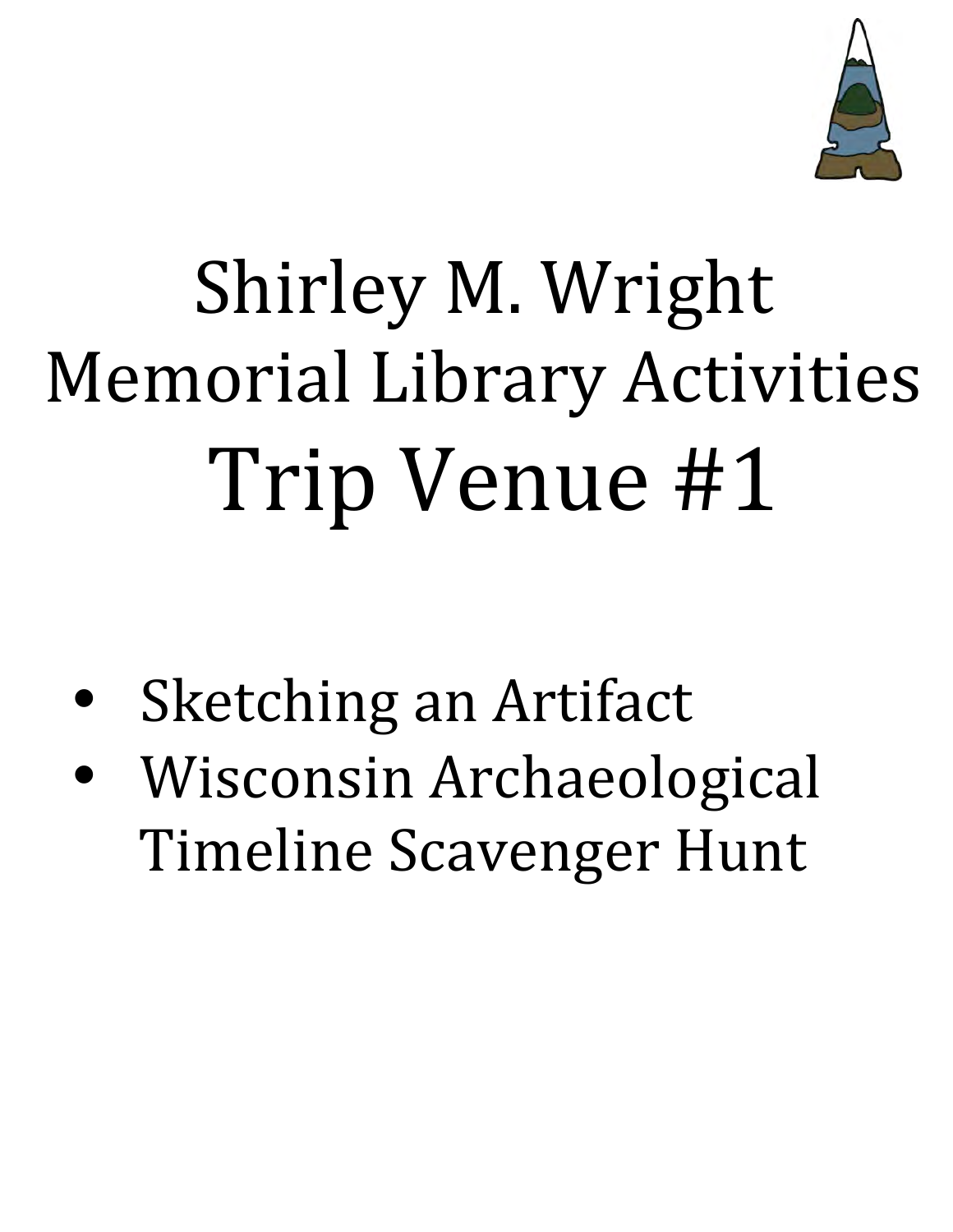

# Shirley M. Wright Memorial Library Activities Trip Venue #1

- Sketching an Artifact
- Wisconsin Archaeological Timeline Scavenger Hunt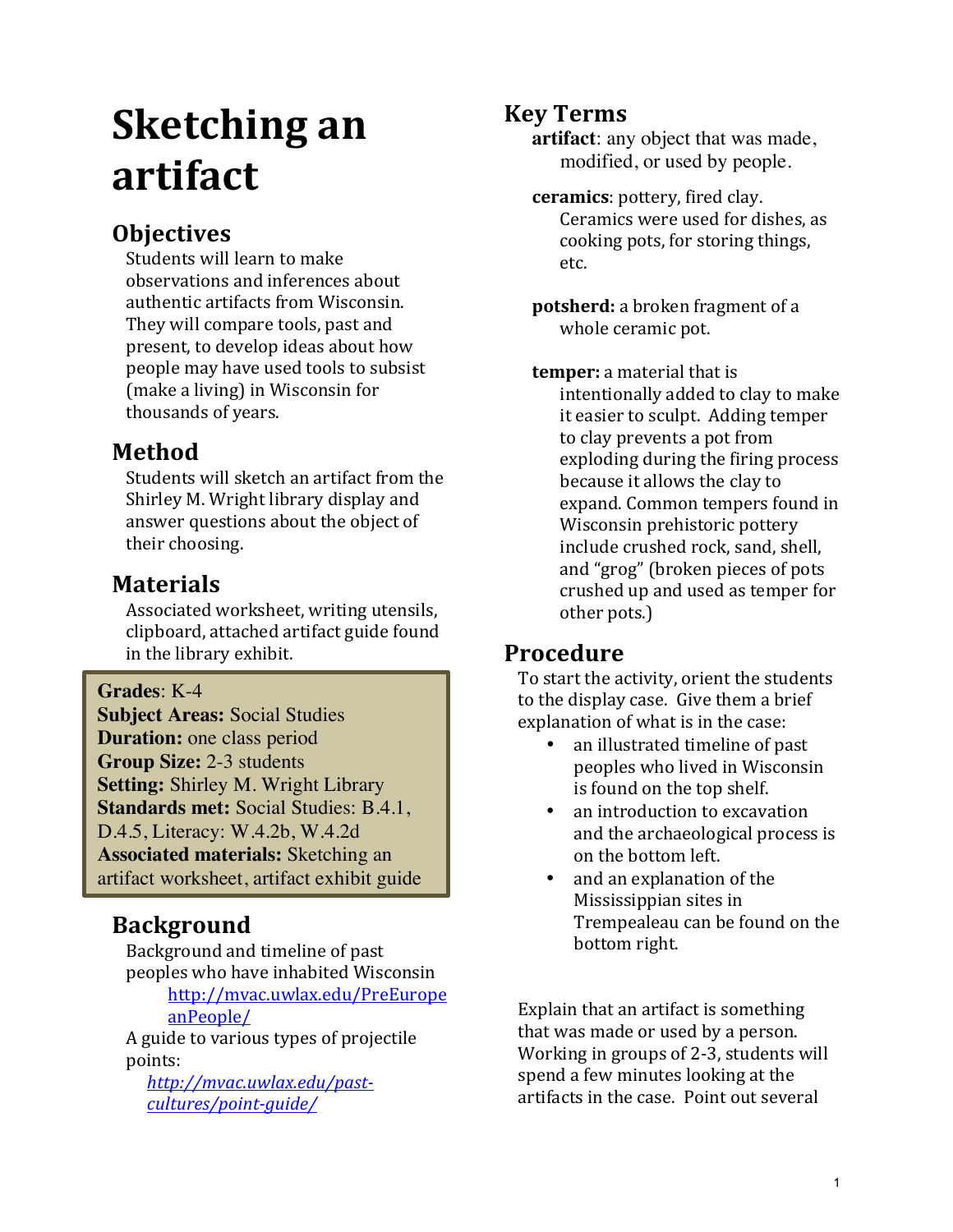# **Sketching an artifact**

# **Objectives**

Students will learn to make observations and inferences about authentic artifacts from Wisconsin. They will compare tools, past and present, to develop ideas about how people may have used tools to subsist (make a living) in Wisconsin for thousands of years.

## **Method**

Students will sketch an artifact from the Shirley M. Wright library display and answer questions about the object of their choosing.

# **Materials**

Associated worksheet, writing utensils, clipboard, attached artifact guide found in the library exhibit.

**Grades**: K-4

**Subject Areas:** Social Studies **Duration:** one class period **Group Size:** 2-3 students **Setting:** Shirley M. Wright Library **Standards met:** Social Studies: B.4.1, D.4.5, Literacy: W.4.2b, W.4.2d **Associated materials:** Sketching an artifact worksheet, artifact exhibit guide

# **Background**

Background and timeline of past peoples who have inhabited Wisconsin

http://mvac.uwlax.edu/PreEurope anPeople/ 

A guide to various types of projectile points: 

*http://mvac.uwlax.edu/pastcultures/point-guide/*

# **Key Terms**

**artifact**: any object that was made, modified, or used by people.

- **ceramics**: pottery, fired clay. Ceramics were used for dishes, as cooking pots, for storing things, etc.
- **potsherd:** a broken fragment of a whole ceramic pot.

**temper:** a material that is intentionally added to clay to make it easier to sculpt. Adding temper to clay prevents a pot from exploding during the firing process because it allows the clay to expand. Common tempers found in Wisconsin prehistoric pottery include crushed rock, sand, shell, and "grog" (broken pieces of pots crushed up and used as temper for other pots.)

# **Procedure**

To start the activity, orient the students to the display case. Give them a brief explanation of what is in the case:

- an illustrated timeline of past peoples who lived in Wisconsin is found on the top shelf.
- an introduction to excavation and the archaeological process is on the bottom left.
- and an explanation of the Mississippian sites in Trempealeau can be found on the bottom right.

Explain that an artifact is something that was made or used by a person. Working in groups of 2-3, students will spend a few minutes looking at the artifacts in the case. Point out several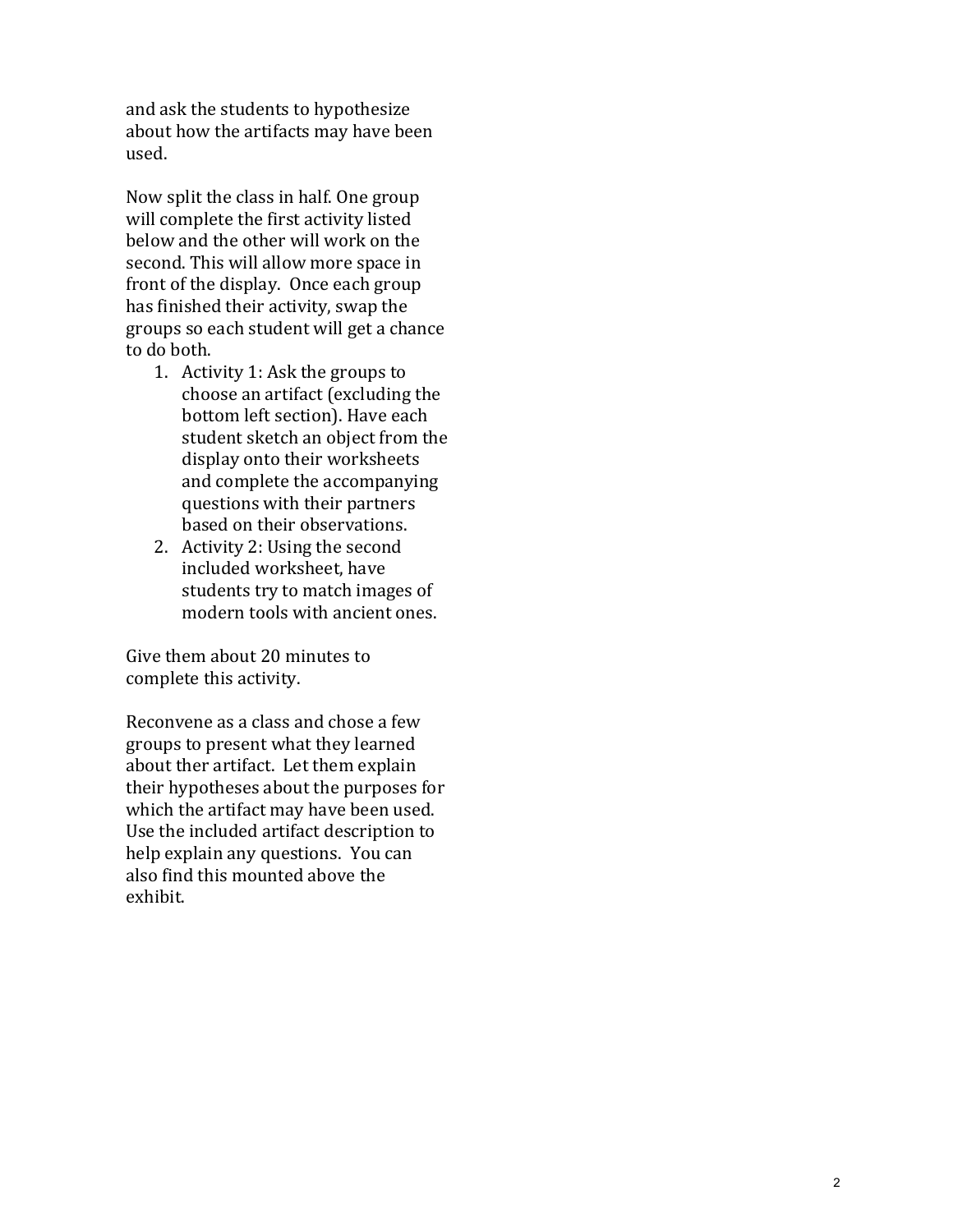and ask the students to hypothesize about how the artifacts may have been used. 

Now split the class in half. One group will complete the first activity listed below and the other will work on the second. This will allow more space in front of the display. Once each group has finished their activity, swap the groups so each student will get a chance to do both.

- 1. Activity 1: Ask the groups to choose an artifact (excluding the bottom left section). Have each student sketch an object from the display onto their worksheets and complete the accompanying questions with their partners based on their observations.
- 2. Activity 2: Using the second included worksheet, have students try to match images of modern tools with ancient ones.

Give them about 20 minutes to complete this activity.

Reconvene as a class and chose a few groups to present what they learned about ther artifact. Let them explain their hypotheses about the purposes for which the artifact may have been used. Use the included artifact description to help explain any questions. You can also find this mounted above the exhibit.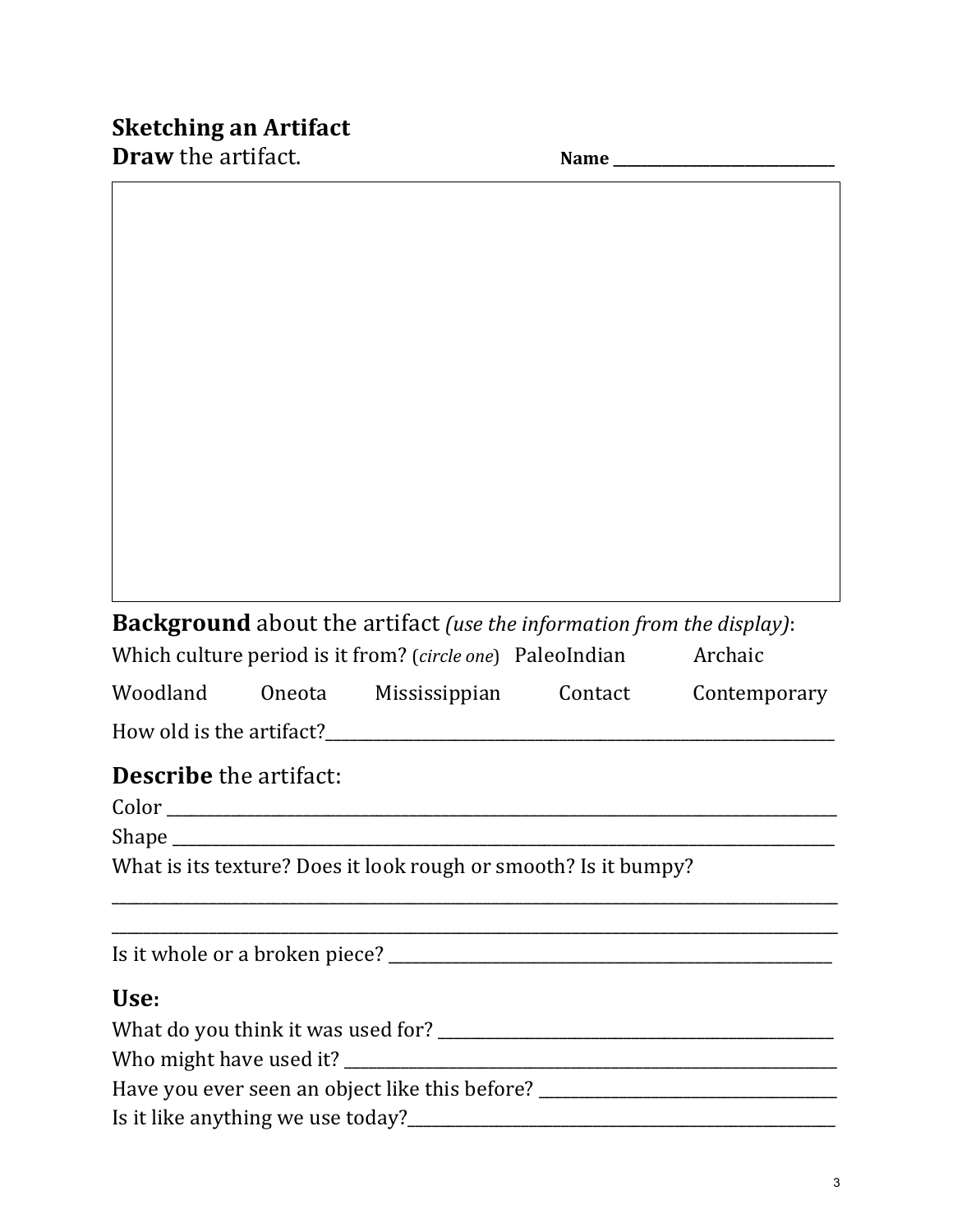# **Sketching an Artifact**

**Draw** the artifact.  $\blacksquare$ 

|                                                                                  |  | <b>Background</b> about the artifact (use the information from the display): |  |                                                    |  |  |
|----------------------------------------------------------------------------------|--|------------------------------------------------------------------------------|--|----------------------------------------------------|--|--|
|                                                                                  |  | Which culture period is it from? (circle one) PaleoIndian Archaic            |  |                                                    |  |  |
|                                                                                  |  |                                                                              |  | Woodland Oneota Mississippian Contact Contemporary |  |  |
|                                                                                  |  |                                                                              |  |                                                    |  |  |
| <b>Describe</b> the artifact:                                                    |  |                                                                              |  |                                                    |  |  |
|                                                                                  |  |                                                                              |  |                                                    |  |  |
|                                                                                  |  |                                                                              |  |                                                    |  |  |
| What is its texture? Does it look rough or smooth? Is it bumpy?                  |  |                                                                              |  |                                                    |  |  |
|                                                                                  |  |                                                                              |  |                                                    |  |  |
|                                                                                  |  |                                                                              |  |                                                    |  |  |
| Use:                                                                             |  |                                                                              |  |                                                    |  |  |
|                                                                                  |  |                                                                              |  |                                                    |  |  |
|                                                                                  |  |                                                                              |  |                                                    |  |  |
| Have you ever seen an object like this before? _________________________________ |  |                                                                              |  |                                                    |  |  |
|                                                                                  |  |                                                                              |  |                                                    |  |  |
|                                                                                  |  |                                                                              |  |                                                    |  |  |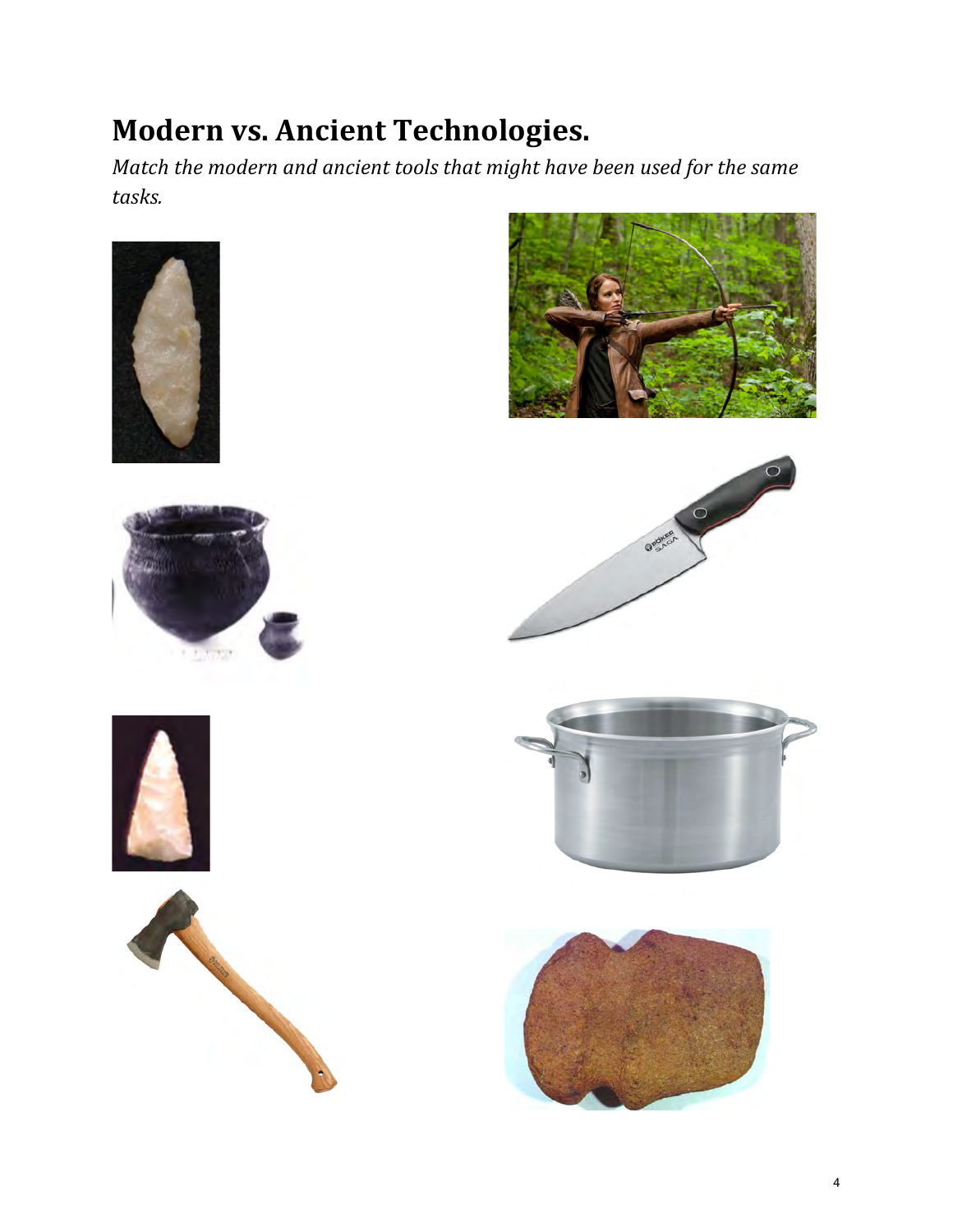# **Modern vs. Ancient Technologies.**

*Match the modern and ancient tools that might have been used for the same tasks.*







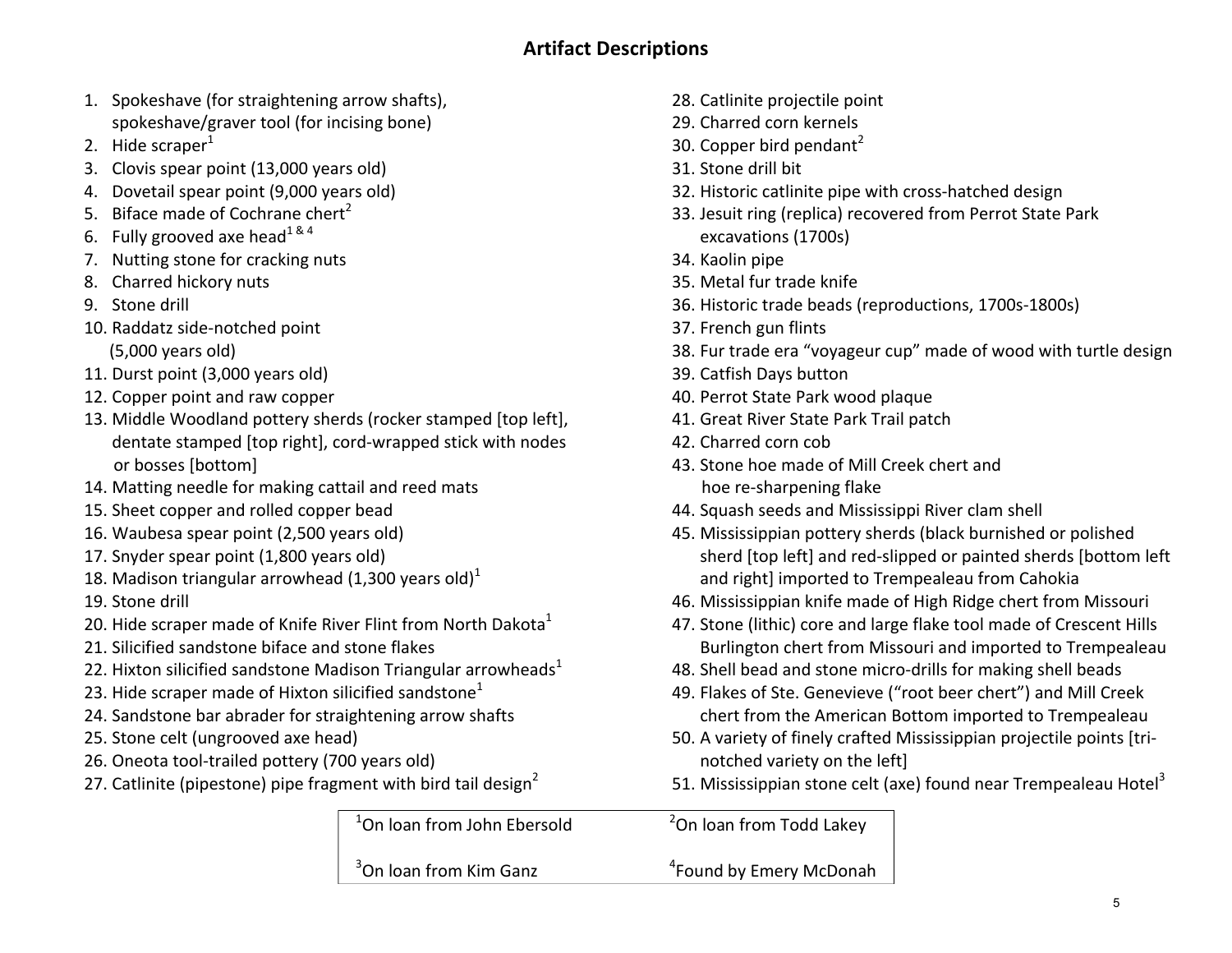- 1. Spokeshave (for straightening arrow shafts), spokeshave/graver tool (for incising bone)
- 2. Hide scraper $<sup>1</sup>$ </sup>
- 3. Clovis spear point (13,000 years old)
- 4. Dovetail spear point (9,000 years old)
- 5. Biface made of Cochrane chert<sup>2</sup>
- 6. Fully grooved axe head  $1^{84}$
- 7. Nutting stone for cracking nuts
- 8. Charred hickory nuts
- 9. Stone drill
- 10. Raddatz side-notched point
	- (5,000 years old)
- 11. Durst point (3,000 years old)
- 12. Copper point and raw copper
- 13. Middle Woodland pottery sherds (rocker stamped [top left], dentate stamped [top right], cord-wrapped stick with nodes or bosses [bottom]
- 14. Matting needle for making cattail and reed mats
- 15. Sheet copper and rolled copper bead
- 16. Waubesa spear point (2,500 years old)
- 17. Snyder spear point (1,800 years old)
- 18. Madison triangular arrowhead  $(1,300$  years old)<sup>1</sup>
- 19. Stone drill
- 20. Hide scraper made of Knife River Flint from North Dakota $^1$
- 21. Silicified sandstone biface and stone flakes
- 22. Hixton silicified sandstone Madison Triangular arrowheads<sup>1</sup>
- 23. Hide scraper made of Hixton silicified sandstone<sup>1</sup>
- 24. Sandstone bar abrader for straightening arrow shafts
- 25. Stone celt (ungrooved axe head)
- 26. Oneota tool-trailed pottery (700 years old)
- 27. Catlinite (pipestone) pipe fragment with bird tail design<sup>2</sup>

 $1$ On loan from John Ebersold  $1$ 

 $3$ On loan from Kim Ganz  $4$ 

- 28. Catlinite projectile point
- 29. Charred corn kernels
- 30. Copper bird pendant<sup>2</sup>
- 31. Stone drill bit
- 32. Historic catlinite pipe with cross-hatched design
- 33. Jesuit ring (replica) recovered from Perrot State Park excavations (1700s)
- 34. Kaolin pipe
- 35. Metal fur trade knife
- 36. Historic trade beads (reproductions, 1700s-1800s)
- 37. French gun flints
- 38. Fur trade era "voyageur cup" made of wood with turtle design
- 39. Catfish Days button
- 40. Perrot State Park wood plaque
- 41. Great River State Park Trail patch
- 42. Charred corn cob
- 43. Stone hoe made of Mill Creek chert and hoe re-sharpening flake
- 44. Squash seeds and Mississippi River clam shell
- 45. Mississippian pottery sherds (black burnished or polished sherd [top left] and red-slipped or painted sherds [bottom left] and right] imported to Trempealeau from Cahokia
- 46. Mississippian knife made of High Ridge chert from Missouri
- 47. Stone (lithic) core and large flake tool made of Crescent Hills Burlington chert from Missouri and imported to Trempealeau
- 48. Shell bead and stone micro-drills for making shell beads
- 49. Flakes of Ste. Genevieve ("root beer chert") and Mill Creek chert from the American Bottom imported to Trempealeau
- 50. A variety of finely crafted Mississippian projectile points [trinotched variety on the left]
- 51. Mississippian stone celt (axe) found near Trempealeau Hotel<sup>3</sup>

<sup>2</sup>On loan from Todd Lakey

#### <sup>4</sup> Found by Emery McDonah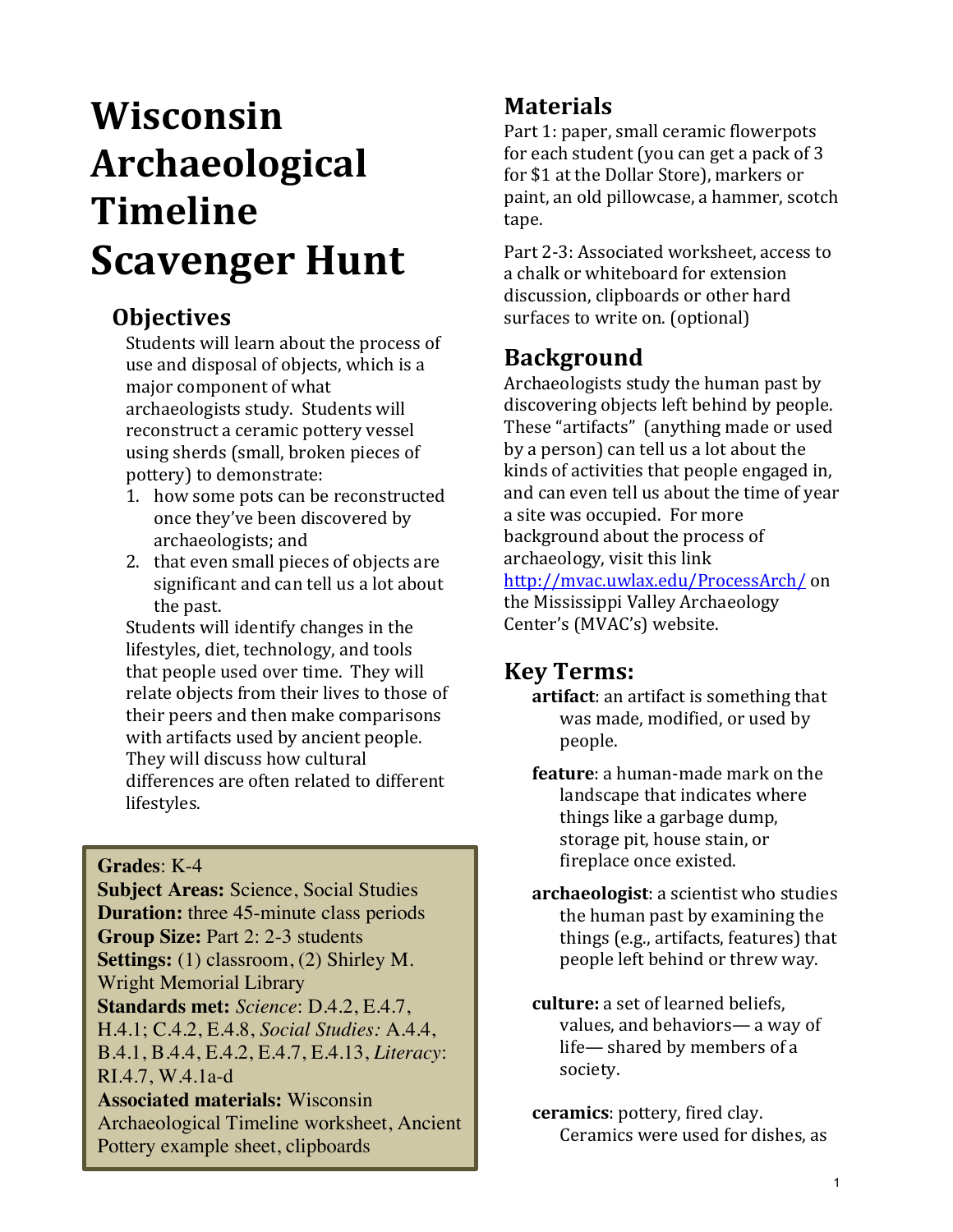# **Wisconsin Archaeological Timeline Scavenger Hunt**

# **Objectives**

Students will learn about the process of use and disposal of objects, which is a major component of what archaeologists study. Students will reconstruct a ceramic pottery vessel using sherds (small, broken pieces of pottery) to demonstrate:

- 1. how some pots can be reconstructed once they've been discovered by archaeologists; and
- 2. that even small pieces of objects are significant and can tell us a lot about the past.

Students will identify changes in the lifestyles, diet, technology, and tools that people used over time. They will relate objects from their lives to those of their peers and then make comparisons with artifacts used by ancient people. They will discuss how cultural differences are often related to different lifestyles. 

#### **Grades**: K-4

**Subject Areas:** Science, Social Studies **Duration:** three 45-minute class periods **Group Size:** Part 2: 2-3 students **Settings:** (1) classroom, (2) Shirley M. Wright Memorial Library **Standards met:** *Science*: D.4.2, E.4.7, H.4.1; C.4.2, E.4.8, *Social Studies:* A.4.4, B.4.1, B.4.4, E.4.2, E.4.7, E.4.13, *Literacy*: RI.4.7, W.4.1a-d **Associated materials:** Wisconsin Archaeological Timeline worksheet, Ancient Pottery example sheet, clipboards

# **Materials**

Part 1: paper, small ceramic flowerpots for each student (you can get a pack of 3 for \$1 at the Dollar Store), markers or paint, an old pillowcase, a hammer, scotch tape. 

Part 2-3: Associated worksheet, access to a chalk or whiteboard for extension discussion, clipboards or other hard surfaces to write on. (optional)

# **Background**

Archaeologists study the human past by discovering objects left behind by people. These "artifacts" (anything made or used by a person) can tell us a lot about the kinds of activities that people engaged in, and can even tell us about the time of year a site was occupied. For more background about the process of archaeology, visit this link http://mvac.uwlax.edu/ProcessArch/ on the Mississippi Valley Archaeology Center's (MVAC's) website.

#### **Key Terms:**

- artifact: an artifact is something that was made, modified, or used by people.
- **feature**: a human-made mark on the landscape that indicates where things like a garbage dump, storage pit, house stain, or fireplace once existed.
- **archaeologist**: a scientist who studies the human past by examining the things (e.g., artifacts, features) that people left behind or threw way.
- **culture:** a set of learned beliefs, values, and behaviors— a way of life— shared by members of a society.
- **ceramics**: pottery, fired clay. Ceramics were used for dishes, as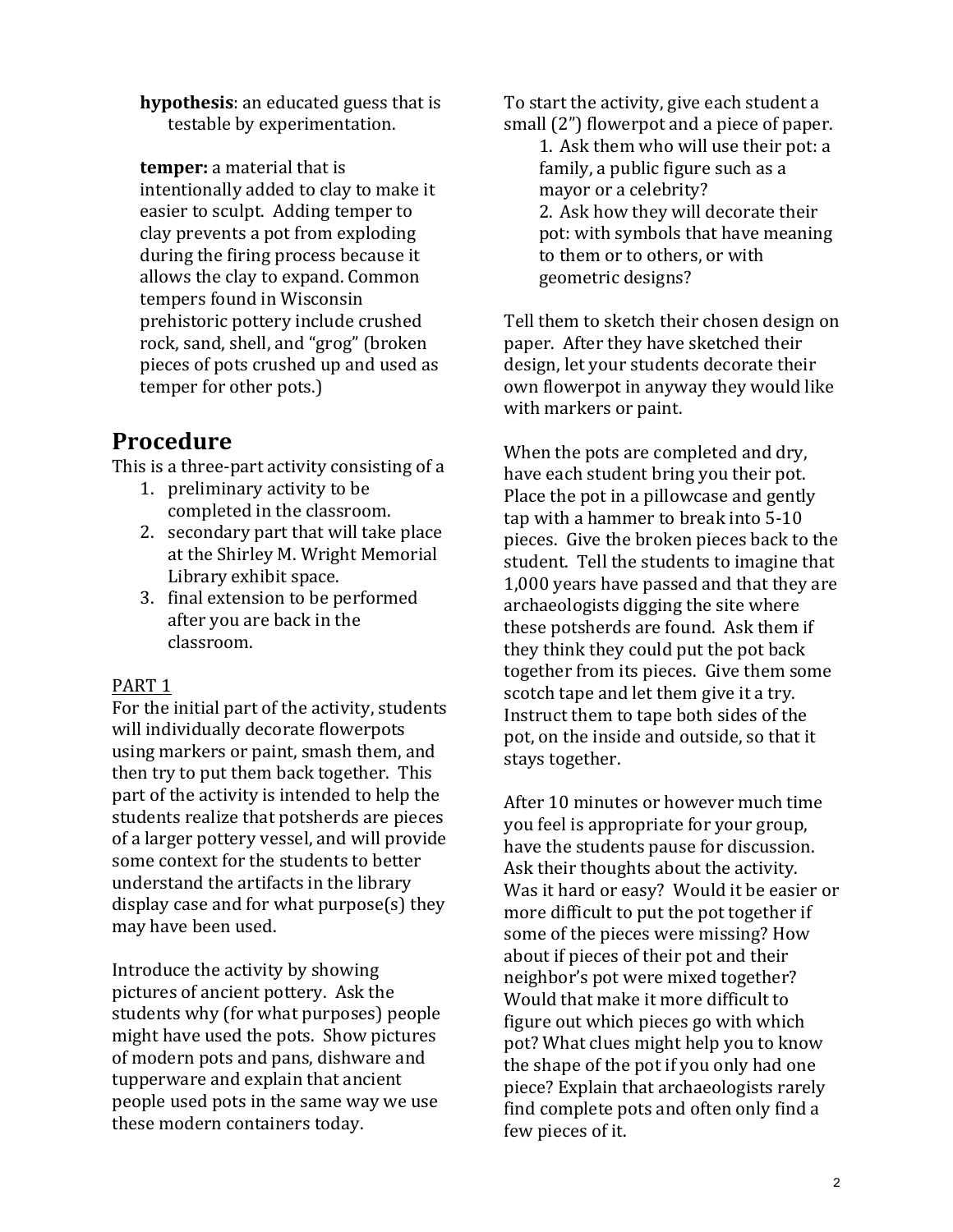**hypothesis:** an educated guess that is testable by experimentation.

**temper:** a material that is intentionally added to clay to make it easier to sculpt. Adding temper to clay prevents a pot from exploding during the firing process because it allows the clay to expand. Common tempers found in Wisconsin prehistoric pottery include crushed rock, sand, shell, and "grog" (broken pieces of pots crushed up and used as temper for other pots.)

### **Procedure**

This is a three-part activity consisting of a

- 1. preliminary activity to be completed in the classroom.
- 2. secondary part that will take place at the Shirley M. Wright Memorial Library exhibit space.
- 3. final extension to be performed after you are back in the classroom.

#### PART<sub>1</sub>

For the initial part of the activity, students will individually decorate flowerpots using markers or paint, smash them, and then try to put them back together. This part of the activity is intended to help the students realize that potsherds are pieces of a larger pottery vessel, and will provide some context for the students to better understand the artifacts in the library display case and for what  $p$ urpose(s) they may have been used.

Introduce the activity by showing pictures of ancient pottery. Ask the students why (for what purposes) people might have used the pots. Show pictures of modern pots and pans, dishware and tupperware and explain that ancient people used pots in the same way we use these modern containers today.

To start the activity, give each student a small  $(2")$  flowerpot and a piece of paper.

1. Ask them who will use their pot: a family, a public figure such as a mayor or a celebrity? 2. Ask how they will decorate their pot: with symbols that have meaning to them or to others, or with geometric designs?

Tell them to sketch their chosen design on paper. After they have sketched their design, let your students decorate their own flowerpot in anyway they would like with markers or paint.

When the pots are completed and dry, have each student bring you their pot. Place the pot in a pillowcase and gently tap with a hammer to break into 5-10 pieces. Give the broken pieces back to the student. Tell the students to imagine that 1,000 years have passed and that they are archaeologists digging the site where these potsherds are found. Ask them if they think they could put the pot back together from its pieces. Give them some scotch tape and let them give it a try. Instruct them to tape both sides of the pot, on the inside and outside, so that it stays together.

After 10 minutes or however much time you feel is appropriate for your group, have the students pause for discussion. Ask their thoughts about the activity. Was it hard or easy? Would it be easier or more difficult to put the pot together if some of the pieces were missing? How about if pieces of their pot and their neighbor's pot were mixed together? Would that make it more difficult to figure out which pieces go with which pot? What clues might help you to know the shape of the pot if you only had one piece? Explain that archaeologists rarely find complete pots and often only find a few pieces of it.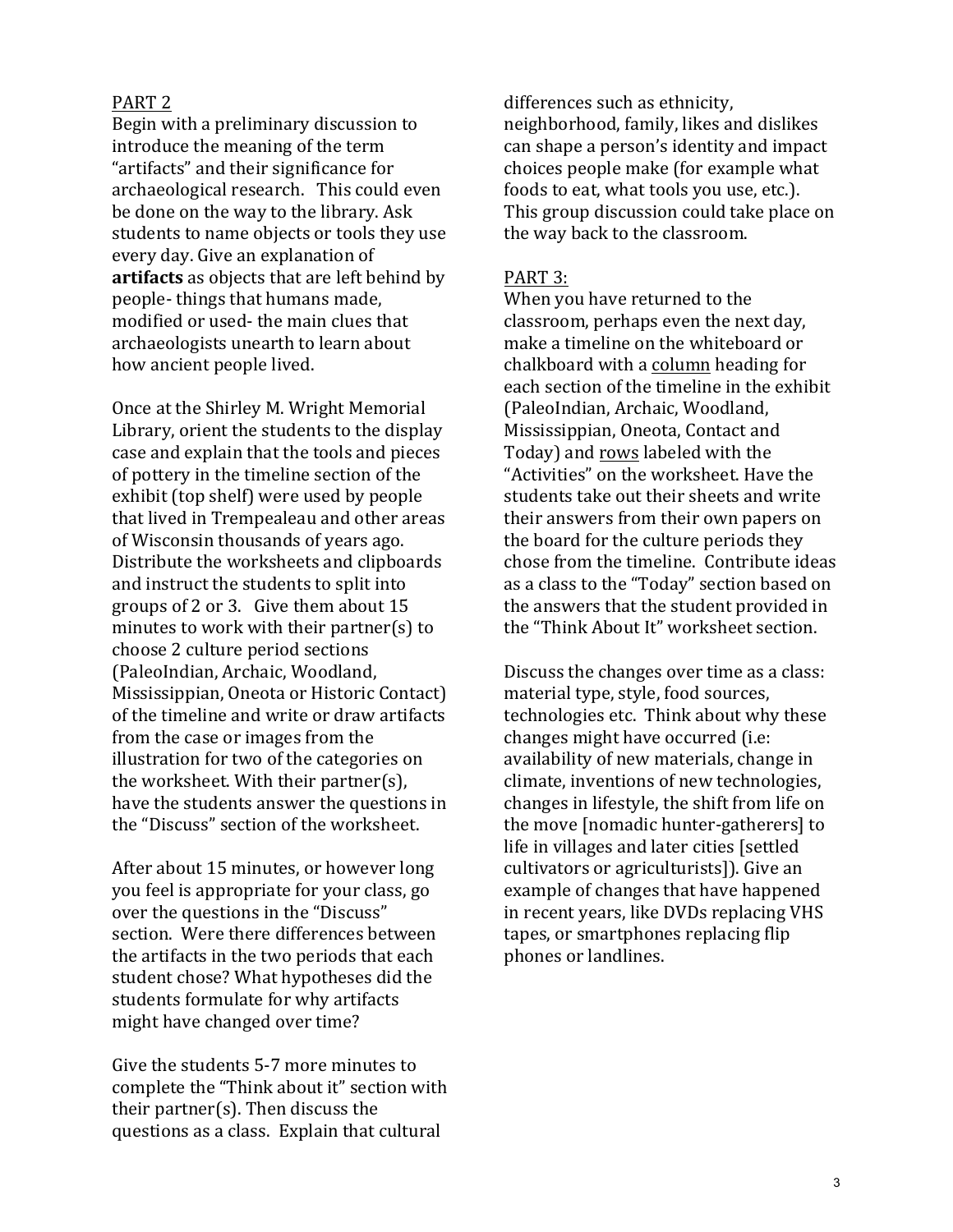#### PART<sub>2</sub>

Begin with a preliminary discussion to introduce the meaning of the term "artifacts" and their significance for archaeological research. This could even be done on the way to the library. Ask students to name objects or tools they use every day. Give an explanation of **artifacts** as objects that are left behind by people- things that humans made, modified or used- the main clues that archaeologists unearth to learn about how ancient people lived.

Once at the Shirley M. Wright Memorial Library, orient the students to the display case and explain that the tools and pieces of pottery in the timeline section of the exhibit (top shelf) were used by people that lived in Trempealeau and other areas of Wisconsin thousands of years ago. Distribute the worksheets and clipboards and instruct the students to split into groups of 2 or 3. Give them about  $15$ minutes to work with their partner(s) to choose 2 culture period sections (PaleoIndian, Archaic, Woodland, Mississippian, Oneota or Historic Contact) of the timeline and write or draw artifacts from the case or images from the illustration for two of the categories on the worksheet. With their partner(s), have the students answer the questions in the "Discuss" section of the worksheet.

After about 15 minutes, or however long you feel is appropriate for your class, go over the questions in the "Discuss" section. Were there differences between the artifacts in the two periods that each student chose? What hypotheses did the students formulate for why artifacts might have changed over time?

Give the students 5-7 more minutes to complete the "Think about it" section with their partner(s). Then discuss the questions as a class. Explain that cultural

differences such as ethnicity, neighborhood, family, likes and dislikes can shape a person's identity and impact choices people make (for example what foods to eat, what tools you use, etc.). This group discussion could take place on the way back to the classroom.

#### PART 3:

When you have returned to the classroom, perhaps even the next day, make a timeline on the whiteboard or chalkboard with a column heading for each section of the timeline in the exhibit (PaleoIndian, Archaic, Woodland, Mississippian, Oneota, Contact and Today) and rows labeled with the "Activities" on the worksheet. Have the students take out their sheets and write their answers from their own papers on the board for the culture periods they chose from the timeline. Contribute ideas as a class to the "Today" section based on the answers that the student provided in the "Think About It" worksheet section.

Discuss the changes over time as a class: material type, style, food sources, technologies etc. Think about why these changes might have occurred (i.e: availability of new materials, change in climate, inventions of new technologies, changes in lifestyle, the shift from life on the move [nomadic hunter-gatherers] to life in villages and later cities [settled] cultivators or agriculturists]). Give an example of changes that have happened in recent years, like DVDs replacing VHS tapes, or smartphones replacing flip phones or landlines.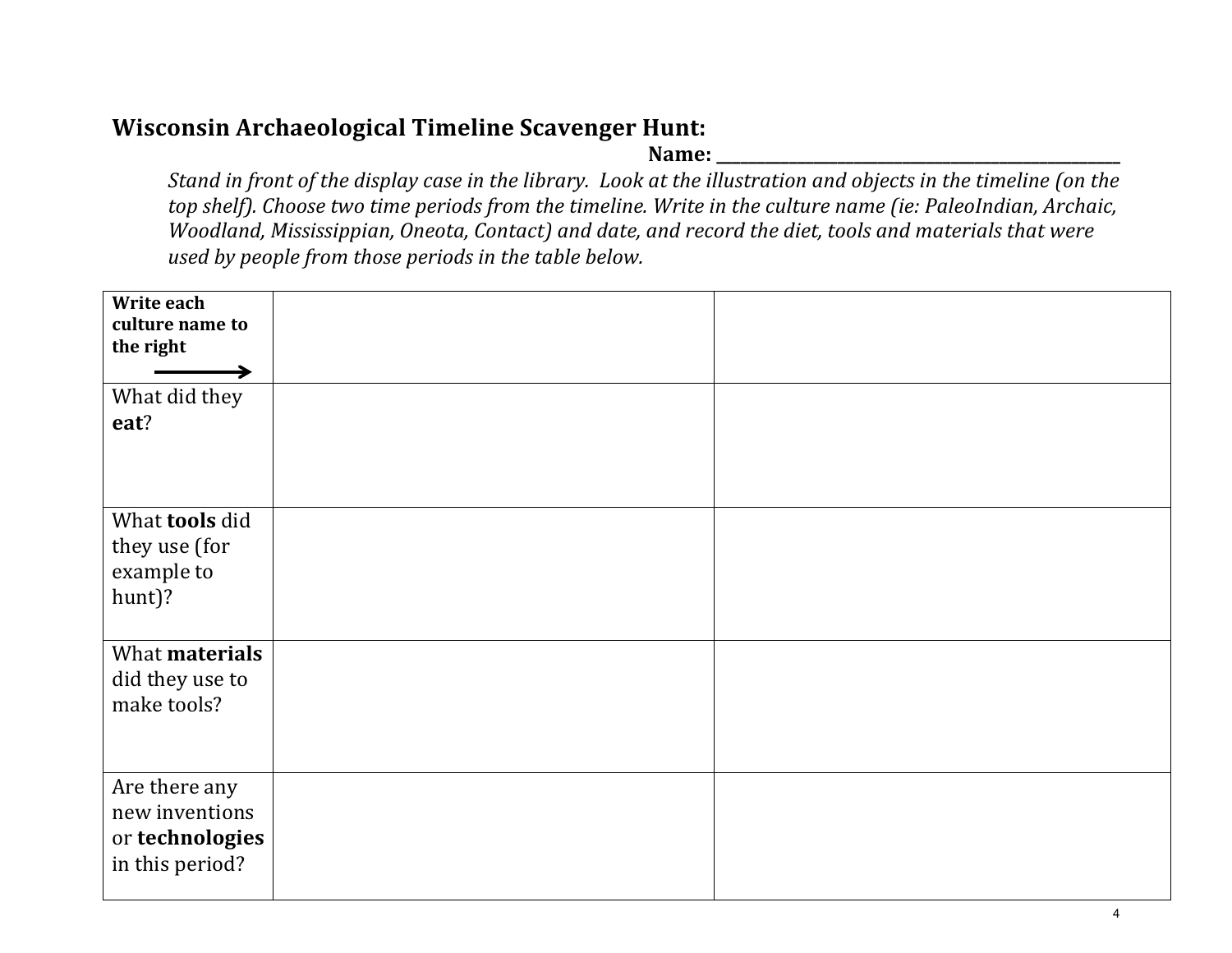#### **Wisconsin Archaeological Timeline Scavenger Hunt:**

**Name: \_\_\_\_\_\_\_\_\_\_\_\_\_\_\_\_\_\_\_\_\_\_\_\_\_\_\_\_\_\_\_\_\_\_\_\_\_\_\_\_\_\_\_\_\_\_\_\_\_\_**

*Stand* in front of the display case in the library. Look at the illustration and objects in the timeline (on the *top* shelf). Choose two time periods from the timeline. Write in the culture name (ie: PaleoIndian, Archaic, *Woodland, Mississippian, Oneota, Contact) and date, and record the diet, tools and materials that were used by people from those periods in the table below.* 

| Write each<br>culture name to<br>the right                            |  |
|-----------------------------------------------------------------------|--|
| What did they<br>eat?                                                 |  |
| What <b>tools</b> did<br>they use (for<br>example to<br>hunt)?        |  |
| What materials<br>did they use to<br>make tools?                      |  |
| Are there any<br>new inventions<br>or technologies<br>in this period? |  |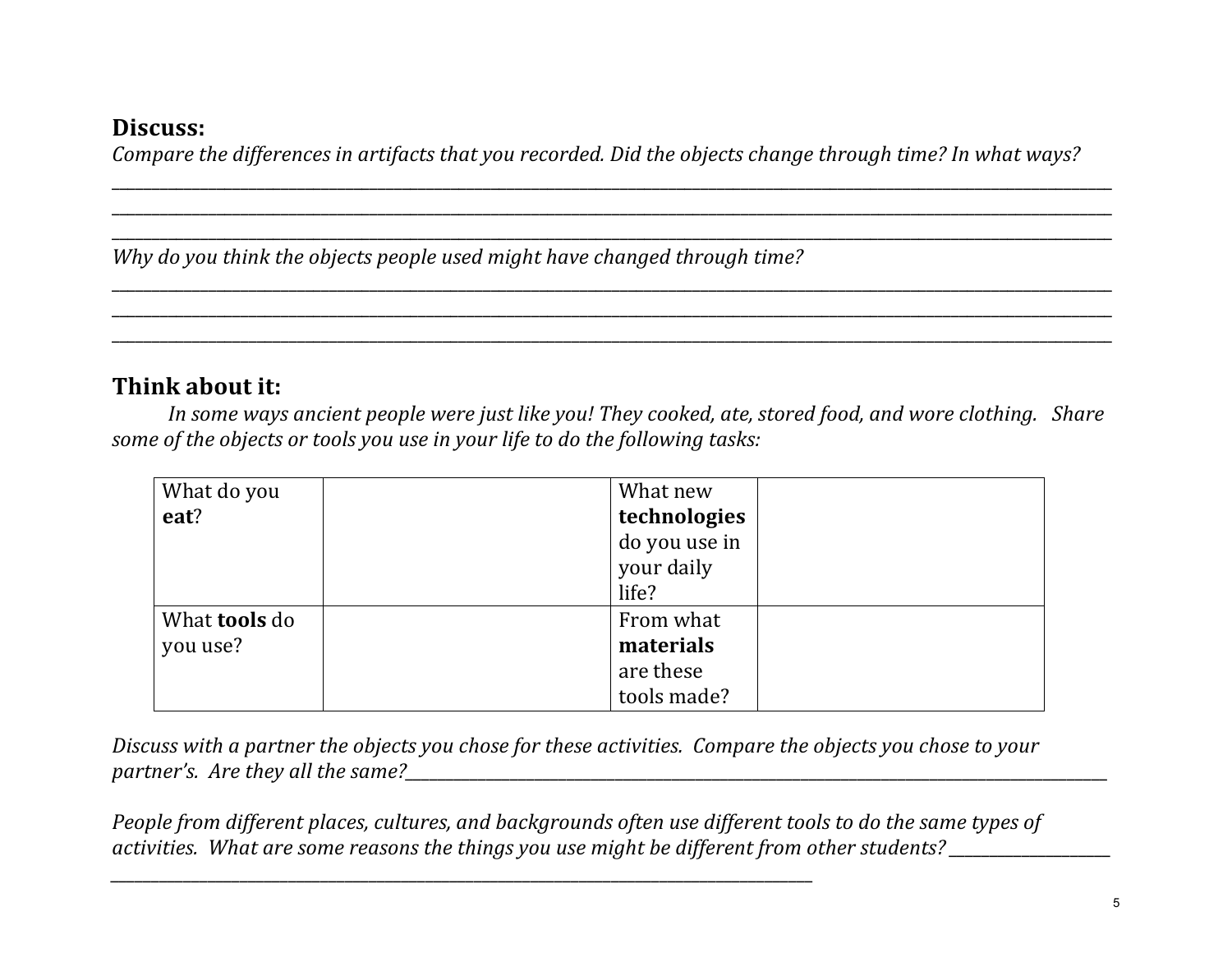#### **Discuss:**

*Compare the differences in artifacts that you recorded. Did the objects change through time? In what ways?* 

\_\_\_\_\_\_\_\_\_\_\_\_\_\_\_\_\_\_\_\_\_\_\_\_\_\_\_\_\_\_\_\_\_\_\_\_\_\_\_\_\_\_\_\_\_\_\_\_\_\_\_\_\_\_\_\_\_\_\_\_\_\_\_\_\_\_\_\_\_\_\_\_\_\_\_\_\_\_\_\_\_\_\_\_\_\_\_\_\_\_\_\_\_\_\_\_\_\_\_\_\_\_\_\_\_\_\_\_\_\_\_\_\_\_\_\_\_\_\_\_\_\_\_\_ \_\_\_\_\_\_\_\_\_\_\_\_\_\_\_\_\_\_\_\_\_\_\_\_\_\_\_\_\_\_\_\_\_\_\_\_\_\_\_\_\_\_\_\_\_\_\_\_\_\_\_\_\_\_\_\_\_\_\_\_\_\_\_\_\_\_\_\_\_\_\_\_\_\_\_\_\_\_\_\_\_\_\_\_\_\_\_\_\_\_\_\_\_\_\_\_\_\_\_\_\_\_\_\_\_\_\_\_\_\_\_\_\_\_\_\_\_\_\_\_\_\_\_\_ \_\_\_\_\_\_\_\_\_\_\_\_\_\_\_\_\_\_\_\_\_\_\_\_\_\_\_\_\_\_\_\_\_\_\_\_\_\_\_\_\_\_\_\_\_\_\_\_\_\_\_\_\_\_\_\_\_\_\_\_\_\_\_\_\_\_\_\_\_\_\_\_\_\_\_\_\_\_\_\_\_\_\_\_\_\_\_\_\_\_\_\_\_\_\_\_\_\_\_\_\_\_\_\_\_\_\_\_\_\_\_\_\_\_\_\_\_\_\_\_\_\_\_\_

\_\_\_\_\_\_\_\_\_\_\_\_\_\_\_\_\_\_\_\_\_\_\_\_\_\_\_\_\_\_\_\_\_\_\_\_\_\_\_\_\_\_\_\_\_\_\_\_\_\_\_\_\_\_\_\_\_\_\_\_\_\_\_\_\_\_\_\_\_\_\_\_\_\_\_\_\_\_\_\_\_\_\_\_\_\_\_\_\_\_\_\_\_\_\_\_\_\_\_\_\_\_\_\_\_\_\_\_\_\_\_\_\_\_\_\_\_\_\_\_\_\_\_\_ \_\_\_\_\_\_\_\_\_\_\_\_\_\_\_\_\_\_\_\_\_\_\_\_\_\_\_\_\_\_\_\_\_\_\_\_\_\_\_\_\_\_\_\_\_\_\_\_\_\_\_\_\_\_\_\_\_\_\_\_\_\_\_\_\_\_\_\_\_\_\_\_\_\_\_\_\_\_\_\_\_\_\_\_\_\_\_\_\_\_\_\_\_\_\_\_\_\_\_\_\_\_\_\_\_\_\_\_\_\_\_\_\_\_\_\_\_\_\_\_\_\_\_\_ \_\_\_\_\_\_\_\_\_\_\_\_\_\_\_\_\_\_\_\_\_\_\_\_\_\_\_\_\_\_\_\_\_\_\_\_\_\_\_\_\_\_\_\_\_\_\_\_\_\_\_\_\_\_\_\_\_\_\_\_\_\_\_\_\_\_\_\_\_\_\_\_\_\_\_\_\_\_\_\_\_\_\_\_\_\_\_\_\_\_\_\_\_\_\_\_\_\_\_\_\_\_\_\_\_\_\_\_\_\_\_\_\_\_\_\_\_\_\_\_\_\_\_\_

*Why* do you think the objects people used might have changed through time?

#### **Think about it:**

*In some ways ancient people were just like you! They cooked, ate, stored food, and wore clothing. Share* some of the objects or tools you use in your life to do the following tasks:

| What do you          | What new      |
|----------------------|---------------|
| eat?                 | technologies  |
|                      | do you use in |
|                      | your daily    |
|                      | life?         |
| What <b>tools</b> do | From what     |
| you use?             | materials     |
|                      | are these     |
|                      | tools made?   |

*Discuss* with a partner the objects you chose for these activities. Compare the objects you chose to your *partner's. Are they all the same?\_\_\_\_\_\_\_\_\_\_\_\_\_\_\_\_\_\_\_\_\_\_\_\_\_\_\_\_\_\_\_\_\_\_\_\_\_\_\_\_\_\_\_\_\_\_\_\_\_\_\_\_\_\_\_\_\_\_\_\_\_\_\_\_\_\_\_\_\_\_\_\_\_\_\_\_\_\_\_\_\_\_\_\_\_\_\_*

*People from different places, cultures, and backgrounds often use different tools to do the same types of activities. What are some reasons the things you use might be different from other students?* 

*\_\_\_\_\_\_\_\_\_\_\_\_\_\_\_\_\_\_\_\_\_\_\_\_\_\_\_\_\_\_\_\_\_\_\_\_\_\_\_\_\_\_\_\_\_\_\_\_\_\_\_\_\_\_\_\_\_\_\_\_\_\_\_\_\_\_\_\_\_\_\_\_\_\_\_\_\_\_\_\_\_\_\_\_\_\_\_*